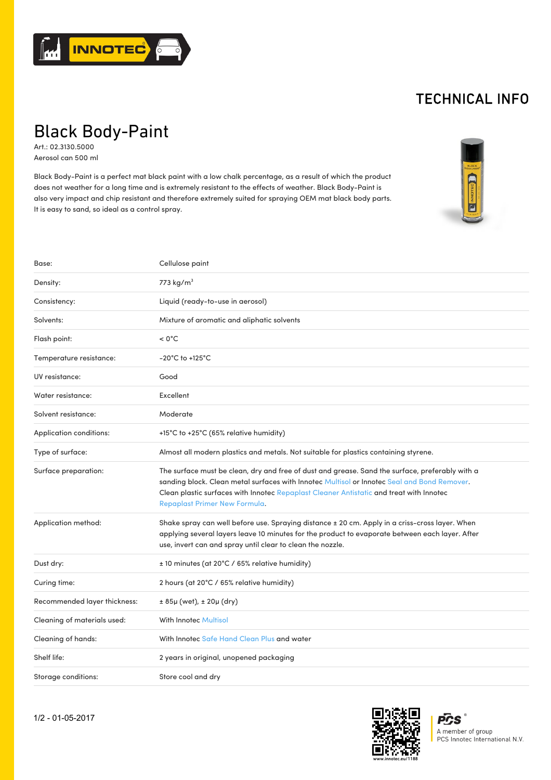

## TECHNICAL INFO

## Black Body-Paint

Art.: 02.3130.5000 Aerosol can 500 ml

Black Body-Paint is a perfect mat black paint with a low chalk percentage, as a result of which the product does not weather for a long time and is extremely resistant to the effects of weather. Black Body-Paint is also very impact and chip resistant and therefore extremely suited for spraying OEM mat black body parts. It is easy to sand, so ideal as a control spray.



| Base:                        | Cellulose paint                                                                                                                                                                                                                                                                                                            |
|------------------------------|----------------------------------------------------------------------------------------------------------------------------------------------------------------------------------------------------------------------------------------------------------------------------------------------------------------------------|
| Density:                     | 773 kg/m <sup>3</sup>                                                                                                                                                                                                                                                                                                      |
| Consistency:                 | Liquid (ready-to-use in aerosol)                                                                                                                                                                                                                                                                                           |
| Solvents:                    | Mixture of aromatic and aliphatic solvents                                                                                                                                                                                                                                                                                 |
| Flash point:                 | $< 0^{\circ}$ C                                                                                                                                                                                                                                                                                                            |
| Temperature resistance:      | $-20^{\circ}$ C to $+125^{\circ}$ C                                                                                                                                                                                                                                                                                        |
| UV resistance:               | Good                                                                                                                                                                                                                                                                                                                       |
| Water resistance:            | Excellent                                                                                                                                                                                                                                                                                                                  |
| Solvent resistance:          | Moderate                                                                                                                                                                                                                                                                                                                   |
| Application conditions:      | +15°C to +25°C (65% relative humidity)                                                                                                                                                                                                                                                                                     |
| Type of surface:             | Almost all modern plastics and metals. Not suitable for plastics containing styrene.                                                                                                                                                                                                                                       |
| Surface preparation:         | The surface must be clean, dry and free of dust and grease. Sand the surface, preferably with a<br>sanding block. Clean metal surfaces with Innotec Multisol or Innotec Seal and Bond Remover.<br>Clean plastic surfaces with Innotec Repaplast Cleaner Antistatic and treat with Innotec<br>Repaplast Primer New Formula. |
| Application method:          | Shake spray can well before use. Spraying distance ± 20 cm. Apply in a criss-cross layer. When<br>applying several layers leave 10 minutes for the product to evaporate between each layer. After<br>use, invert can and spray until clear to clean the nozzle.                                                            |
| Dust dry:                    | ± 10 minutes (at 20°C / 65% relative humidity)                                                                                                                                                                                                                                                                             |
| Curing time:                 | 2 hours (at 20°C / 65% relative humidity)                                                                                                                                                                                                                                                                                  |
| Recommended layer thickness: | ± 85µ (wet), ± 20µ (dry)                                                                                                                                                                                                                                                                                                   |
| Cleaning of materials used:  | <b>With Innotec Multisol</b>                                                                                                                                                                                                                                                                                               |
| Cleaning of hands:           | With Innotec Safe Hand Clean Plus and water                                                                                                                                                                                                                                                                                |
| Shelf life:                  | 2 years in original, unopened packaging                                                                                                                                                                                                                                                                                    |
| Storage conditions:          | Store cool and dry                                                                                                                                                                                                                                                                                                         |